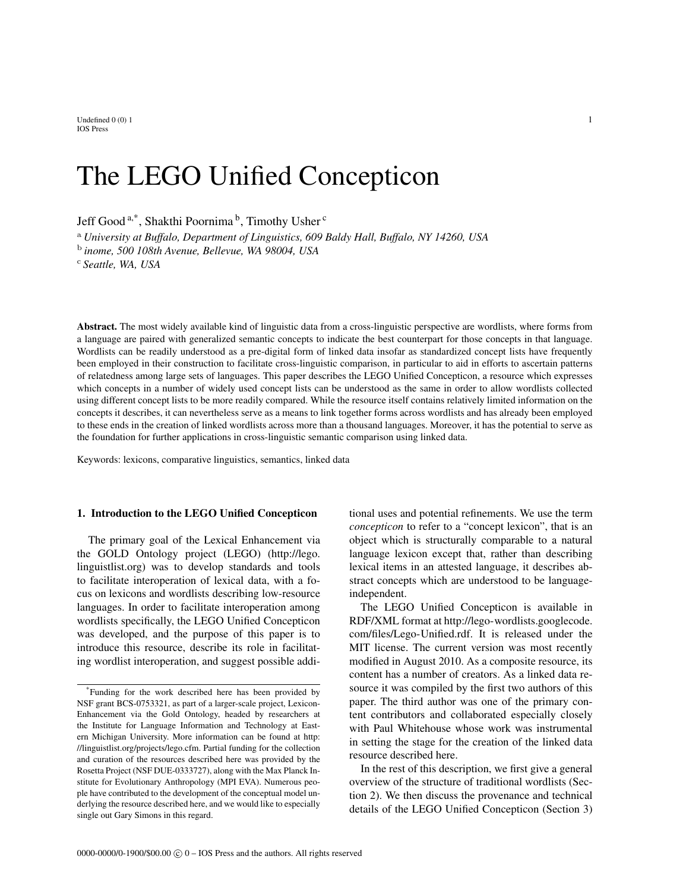Undefined  $0\ (0)$  1 1 IOS Press

# The LEGO Unified Concepticon

Jeff Good<sup>a,\*</sup>, Shakthi Poornima<sup>b</sup>, Timothy Usher<sup>c</sup>

<sup>a</sup> *University at Buffalo, Department of Linguistics, 609 Baldy Hall, Buffalo, NY 14260, USA*

b *inome, 500 108th Avenue, Bellevue, WA 98004, USA*

<sup>c</sup> *Seattle, WA, USA*

Abstract. The most widely available kind of linguistic data from a cross-linguistic perspective are wordlists, where forms from a language are paired with generalized semantic concepts to indicate the best counterpart for those concepts in that language. Wordlists can be readily understood as a pre-digital form of linked data insofar as standardized concept lists have frequently been employed in their construction to facilitate cross-linguistic comparison, in particular to aid in efforts to ascertain patterns of relatedness among large sets of languages. This paper describes the LEGO Unified Concepticon, a resource which expresses which concepts in a number of widely used concept lists can be understood as the same in order to allow wordlists collected using different concept lists to be more readily compared. While the resource itself contains relatively limited information on the concepts it describes, it can nevertheless serve as a means to link together forms across wordlists and has already been employed to these ends in the creation of linked wordlists across more than a thousand languages. Moreover, it has the potential to serve as the foundation for further applications in cross-linguistic semantic comparison using linked data.

Keywords: lexicons, comparative linguistics, semantics, linked data

### 1. Introduction to the LEGO Unified Concepticon

The primary goal of the Lexical Enhancement via the GOLD Ontology project (LEGO) (http://lego. linguistlist.org) was to develop standards and tools to facilitate interoperation of lexical data, with a focus on lexicons and wordlists describing low-resource languages. In order to facilitate interoperation among wordlists specifically, the LEGO Unified Concepticon was developed, and the purpose of this paper is to introduce this resource, describe its role in facilitating wordlist interoperation, and suggest possible additional uses and potential refinements. We use the term *concepticon* to refer to a "concept lexicon", that is an object which is structurally comparable to a natural language lexicon except that, rather than describing lexical items in an attested language, it describes abstract concepts which are understood to be languageindependent.

The LEGO Unified Concepticon is available in RDF/XML format at http://lego-wordlists.googlecode. com/files/Lego-Unified.rdf. It is released under the MIT license. The current version was most recently modified in August 2010. As a composite resource, its content has a number of creators. As a linked data resource it was compiled by the first two authors of this paper. The third author was one of the primary content contributors and collaborated especially closely with Paul Whitehouse whose work was instrumental in setting the stage for the creation of the linked data resource described here.

In the rest of this description, we first give a general overview of the structure of traditional wordlists (Section 2). We then discuss the provenance and technical details of the LEGO Unified Concepticon (Section 3)

<sup>\*</sup>Funding for the work described here has been provided by NSF grant BCS-0753321, as part of a larger-scale project, Lexicon-Enhancement via the Gold Ontology, headed by researchers at the Institute for Language Information and Technology at Eastern Michigan University. More information can be found at http: //linguistlist.org/projects/lego.cfm. Partial funding for the collection and curation of the resources described here was provided by the Rosetta Project (NSF DUE-0333727), along with the Max Planck Institute for Evolutionary Anthropology (MPI EVA). Numerous people have contributed to the development of the conceptual model underlying the resource described here, and we would like to especially single out Gary Simons in this regard.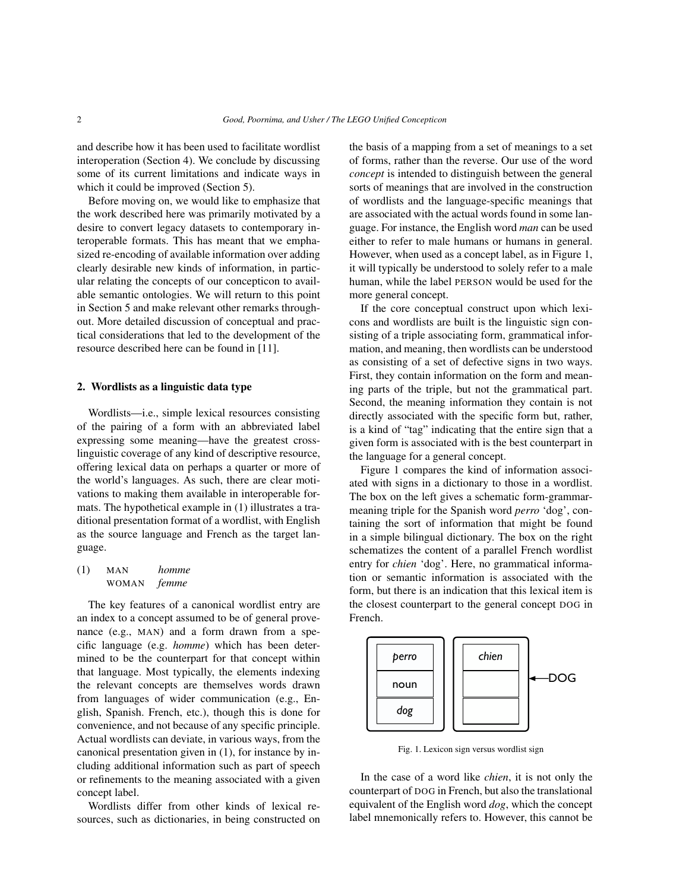and describe how it has been used to facilitate wordlist interoperation (Section 4). We conclude by discussing some of its current limitations and indicate ways in which it could be improved (Section 5).

Before moving on, we would like to emphasize that the work described here was primarily motivated by a desire to convert legacy datasets to contemporary interoperable formats. This has meant that we emphasized re-encoding of available information over adding clearly desirable new kinds of information, in particular relating the concepts of our concepticon to available semantic ontologies. We will return to this point in Section 5 and make relevant other remarks throughout. More detailed discussion of conceptual and practical considerations that led to the development of the resource described here can be found in [11].

### 2. Wordlists as a linguistic data type

Wordlists—i.e., simple lexical resources consisting of the pairing of a form with an abbreviated label expressing some meaning—have the greatest crosslinguistic coverage of any kind of descriptive resource, offering lexical data on perhaps a quarter or more of the world's languages. As such, there are clear motivations to making them available in interoperable formats. The hypothetical example in (1) illustrates a traditional presentation format of a wordlist, with English as the source language and French as the target language.

## (1) MAN *homme* WOMAN *femme*

The key features of a canonical wordlist entry are an index to a concept assumed to be of general provenance (e.g., MAN) and a form drawn from a specific language (e.g. *homme*) which has been determined to be the counterpart for that concept within that language. Most typically, the elements indexing the relevant concepts are themselves words drawn from languages of wider communication (e.g., English, Spanish. French, etc.), though this is done for convenience, and not because of any specific principle. Actual wordlists can deviate, in various ways, from the canonical presentation given in (1), for instance by including additional information such as part of speech or refinements to the meaning associated with a given concept label.

Wordlists differ from other kinds of lexical resources, such as dictionaries, in being constructed on the basis of a mapping from a set of meanings to a set of forms, rather than the reverse. Our use of the word *concept* is intended to distinguish between the general sorts of meanings that are involved in the construction of wordlists and the language-specific meanings that are associated with the actual words found in some language. For instance, the English word *man* can be used either to refer to male humans or humans in general. However, when used as a concept label, as in Figure 1, it will typically be understood to solely refer to a male human, while the label PERSON would be used for the more general concept.

If the core conceptual construct upon which lexicons and wordlists are built is the linguistic sign consisting of a triple associating form, grammatical information, and meaning, then wordlists can be understood as consisting of a set of defective signs in two ways. First, they contain information on the form and meaning parts of the triple, but not the grammatical part. Second, the meaning information they contain is not directly associated with the specific form but, rather, is a kind of "tag" indicating that the entire sign that a given form is associated with is the best counterpart in the language for a general concept.

Figure 1 compares the kind of information associated with signs in a dictionary to those in a wordlist. The box on the left gives a schematic form-grammarmeaning triple for the Spanish word *perro* 'dog', containing the sort of information that might be found in a simple bilingual dictionary. The box on the right schematizes the content of a parallel French wordlist entry for *chien* 'dog'. Here, no grammatical information or semantic information is associated with the form, but there is an indication that this lexical item is the closest counterpart to the general concept DOG in French.



Fig. 1. Lexicon sign versus wordlist sign

In the case of a word like *chien*, it is not only the counterpart of DOG in French, but also the translational equivalent of the English word *dog*, which the concept label mnemonically refers to. However, this cannot be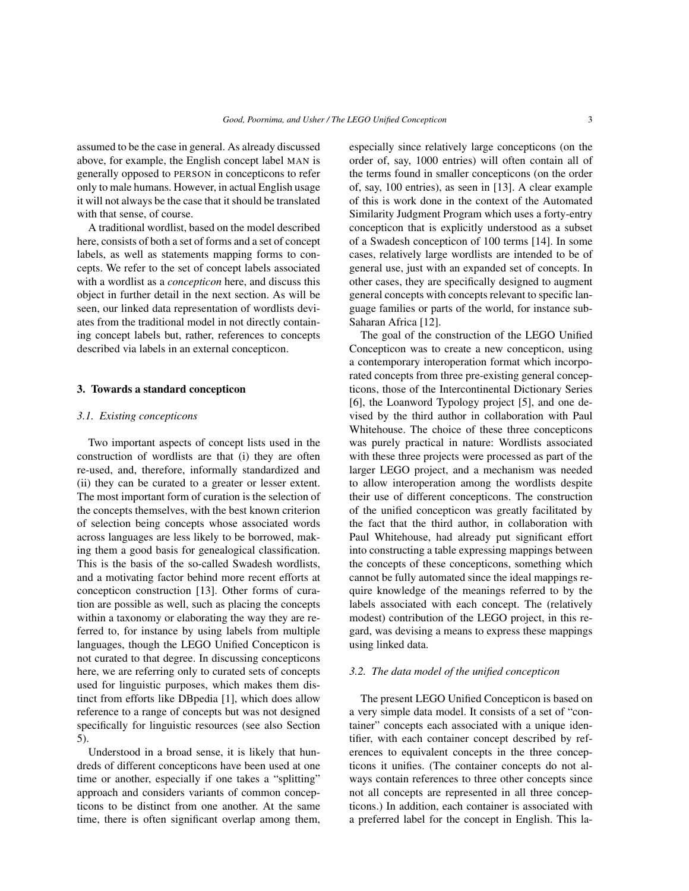assumed to be the case in general. As already discussed above, for example, the English concept label MAN is generally opposed to PERSON in concepticons to refer only to male humans. However, in actual English usage it will not always be the case that it should be translated with that sense, of course.

A traditional wordlist, based on the model described here, consists of both a set of forms and a set of concept labels, as well as statements mapping forms to concepts. We refer to the set of concept labels associated with a wordlist as a *concepticon* here, and discuss this object in further detail in the next section. As will be seen, our linked data representation of wordlists deviates from the traditional model in not directly containing concept labels but, rather, references to concepts described via labels in an external concepticon.

#### 3. Towards a standard concepticon

#### *3.1. Existing concepticons*

Two important aspects of concept lists used in the construction of wordlists are that (i) they are often re-used, and, therefore, informally standardized and (ii) they can be curated to a greater or lesser extent. The most important form of curation is the selection of the concepts themselves, with the best known criterion of selection being concepts whose associated words across languages are less likely to be borrowed, making them a good basis for genealogical classification. This is the basis of the so-called Swadesh wordlists, and a motivating factor behind more recent efforts at concepticon construction [13]. Other forms of curation are possible as well, such as placing the concepts within a taxonomy or elaborating the way they are referred to, for instance by using labels from multiple languages, though the LEGO Unified Concepticon is not curated to that degree. In discussing concepticons here, we are referring only to curated sets of concepts used for linguistic purposes, which makes them distinct from efforts like DBpedia [1], which does allow reference to a range of concepts but was not designed specifically for linguistic resources (see also Section 5).

Understood in a broad sense, it is likely that hundreds of different concepticons have been used at one time or another, especially if one takes a "splitting" approach and considers variants of common concepticons to be distinct from one another. At the same time, there is often significant overlap among them, especially since relatively large concepticons (on the order of, say, 1000 entries) will often contain all of the terms found in smaller concepticons (on the order of, say, 100 entries), as seen in [13]. A clear example of this is work done in the context of the Automated Similarity Judgment Program which uses a forty-entry concepticon that is explicitly understood as a subset of a Swadesh concepticon of 100 terms [14]. In some cases, relatively large wordlists are intended to be of general use, just with an expanded set of concepts. In other cases, they are specifically designed to augment general concepts with concepts relevant to specific language families or parts of the world, for instance sub-Saharan Africa [12].

The goal of the construction of the LEGO Unified Concepticon was to create a new concepticon, using a contemporary interoperation format which incorporated concepts from three pre-existing general concepticons, those of the Intercontinental Dictionary Series [6], the Loanword Typology project [5], and one devised by the third author in collaboration with Paul Whitehouse. The choice of these three concepticons was purely practical in nature: Wordlists associated with these three projects were processed as part of the larger LEGO project, and a mechanism was needed to allow interoperation among the wordlists despite their use of different concepticons. The construction of the unified concepticon was greatly facilitated by the fact that the third author, in collaboration with Paul Whitehouse, had already put significant effort into constructing a table expressing mappings between the concepts of these concepticons, something which cannot be fully automated since the ideal mappings require knowledge of the meanings referred to by the labels associated with each concept. The (relatively modest) contribution of the LEGO project, in this regard, was devising a means to express these mappings using linked data.

#### *3.2. The data model of the unified concepticon*

The present LEGO Unified Concepticon is based on a very simple data model. It consists of a set of "container" concepts each associated with a unique identifier, with each container concept described by references to equivalent concepts in the three concepticons it unifies. (The container concepts do not always contain references to three other concepts since not all concepts are represented in all three concepticons.) In addition, each container is associated with a preferred label for the concept in English. This la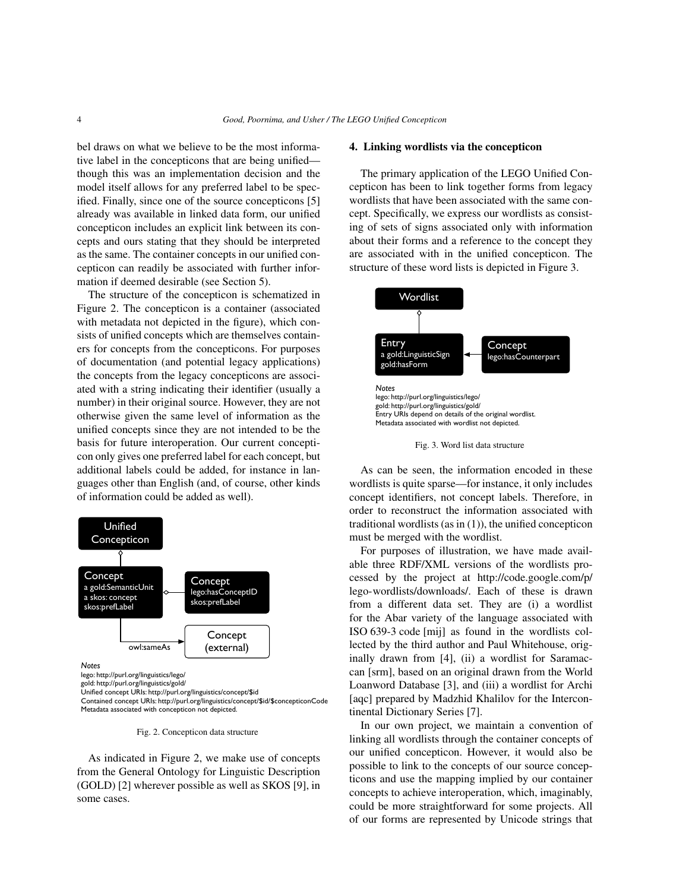bel draws on what we believe to be the most informative label in the concepticons that are being unified though this was an implementation decision and the model itself allows for any preferred label to be specified. Finally, since one of the source concepticons [5] already was available in linked data form, our unified concepticon includes an explicit link between its concepts and ours stating that they should be interpreted as the same. The container concepts in our unified concepticon can readily be associated with further information if deemed desirable (see Section 5).

The structure of the concepticon is schematized in Figure 2. The concepticon is a container (associated with metadata not depicted in the figure), which consists of unified concepts which are themselves containers for concepts from the concepticons. For purposes of documentation (and potential legacy applications) the concepts from the legacy concepticons are associated with a string indicating their identifier (usually a number) in their original source. However, they are not otherwise given the same level of information as the unified concepts since they are not intended to be the basis for future interoperation. Our current concepticon only gives one preferred label for each concept, but additional labels could be added, for instance in languages other than English (and, of course, other kinds of information could be added as well).



Fig. 2. Concepticon data structure

As indicated in Figure 2, we make use of concepts from the General Ontology for Linguistic Description (GOLD) [2] wherever possible as well as SKOS [9], in some cases.

#### 4. Linking wordlists via the concepticon

The primary application of the LEGO Unified Concepticon has been to link together forms from legacy wordlists that have been associated with the same concept. Specifically, we express our wordlists as consisting of sets of signs associated only with information about their forms and a reference to the concept they are associated with in the unified concepticon. The structure of these word lists is depicted in Figure 3.



Fig. 3. Word list data structure

As can be seen, the information encoded in these wordlists is quite sparse—for instance, it only includes concept identifiers, not concept labels. Therefore, in order to reconstruct the information associated with traditional wordlists (as in  $(1)$ ), the unified concepticon must be merged with the wordlist.

For purposes of illustration, we have made available three RDF/XML versions of the wordlists processed by the project at http://code.google.com/p/ lego-wordlists/downloads/. Each of these is drawn from a different data set. They are (i) a wordlist for the Abar variety of the language associated with ISO 639-3 code [mij] as found in the wordlists collected by the third author and Paul Whitehouse, originally drawn from [4], (ii) a wordlist for Saramaccan [srm], based on an original drawn from the World Loanword Database [3], and (iii) a wordlist for Archi [aqc] prepared by Madzhid Khalilov for the Intercontinental Dictionary Series [7].

In our own project, we maintain a convention of linking all wordlists through the container concepts of our unified concepticon. However, it would also be possible to link to the concepts of our source concepticons and use the mapping implied by our container concepts to achieve interoperation, which, imaginably, could be more straightforward for some projects. All of our forms are represented by Unicode strings that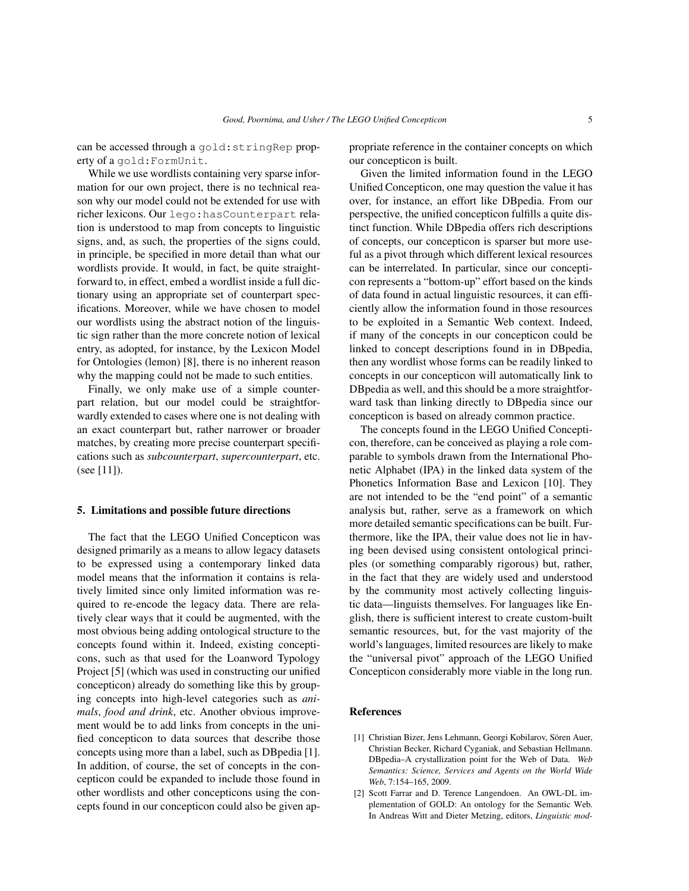can be accessed through a gold:stringRep property of a gold:FormUnit.

While we use wordlists containing very sparse information for our own project, there is no technical reason why our model could not be extended for use with richer lexicons. Our lego:hasCounterpart relation is understood to map from concepts to linguistic signs, and, as such, the properties of the signs could, in principle, be specified in more detail than what our wordlists provide. It would, in fact, be quite straightforward to, in effect, embed a wordlist inside a full dictionary using an appropriate set of counterpart specifications. Moreover, while we have chosen to model our wordlists using the abstract notion of the linguistic sign rather than the more concrete notion of lexical entry, as adopted, for instance, by the Lexicon Model for Ontologies (lemon) [8], there is no inherent reason why the mapping could not be made to such entities.

Finally, we only make use of a simple counterpart relation, but our model could be straightforwardly extended to cases where one is not dealing with an exact counterpart but, rather narrower or broader matches, by creating more precise counterpart specifications such as *subcounterpart*, *supercounterpart*, etc. (see [11]).

#### 5. Limitations and possible future directions

The fact that the LEGO Unified Concepticon was designed primarily as a means to allow legacy datasets to be expressed using a contemporary linked data model means that the information it contains is relatively limited since only limited information was required to re-encode the legacy data. There are relatively clear ways that it could be augmented, with the most obvious being adding ontological structure to the concepts found within it. Indeed, existing concepticons, such as that used for the Loanword Typology Project [5] (which was used in constructing our unified concepticon) already do something like this by grouping concepts into high-level categories such as *animals*, *food and drink*, etc. Another obvious improvement would be to add links from concepts in the unified concepticon to data sources that describe those concepts using more than a label, such as DBpedia [1]. In addition, of course, the set of concepts in the concepticon could be expanded to include those found in other wordlists and other concepticons using the concepts found in our concepticon could also be given appropriate reference in the container concepts on which our concepticon is built.

Given the limited information found in the LEGO Unified Concepticon, one may question the value it has over, for instance, an effort like DBpedia. From our perspective, the unified concepticon fulfills a quite distinct function. While DBpedia offers rich descriptions of concepts, our concepticon is sparser but more useful as a pivot through which different lexical resources can be interrelated. In particular, since our concepticon represents a "bottom-up" effort based on the kinds of data found in actual linguistic resources, it can efficiently allow the information found in those resources to be exploited in a Semantic Web context. Indeed, if many of the concepts in our concepticon could be linked to concept descriptions found in in DBpedia, then any wordlist whose forms can be readily linked to concepts in our concepticon will automatically link to DBpedia as well, and this should be a more straightforward task than linking directly to DBpedia since our concepticon is based on already common practice.

The concepts found in the LEGO Unified Concepticon, therefore, can be conceived as playing a role comparable to symbols drawn from the International Phonetic Alphabet (IPA) in the linked data system of the Phonetics Information Base and Lexicon [10]. They are not intended to be the "end point" of a semantic analysis but, rather, serve as a framework on which more detailed semantic specifications can be built. Furthermore, like the IPA, their value does not lie in having been devised using consistent ontological principles (or something comparably rigorous) but, rather, in the fact that they are widely used and understood by the community most actively collecting linguistic data—linguists themselves. For languages like English, there is sufficient interest to create custom-built semantic resources, but, for the vast majority of the world's languages, limited resources are likely to make the "universal pivot" approach of the LEGO Unified Concepticon considerably more viable in the long run.

#### References

- [1] Christian Bizer, Jens Lehmann, Georgi Kobilarov, Sören Auer, Christian Becker, Richard Cyganiak, and Sebastian Hellmann. DBpedia–A crystallization point for the Web of Data. *Web Semantics: Science, Services and Agents on the World Wide Web*, 7:154–165, 2009.
- [2] Scott Farrar and D. Terence Langendoen. An OWL-DL implementation of GOLD: An ontology for the Semantic Web. In Andreas Witt and Dieter Metzing, editors, *Linguistic mod-*